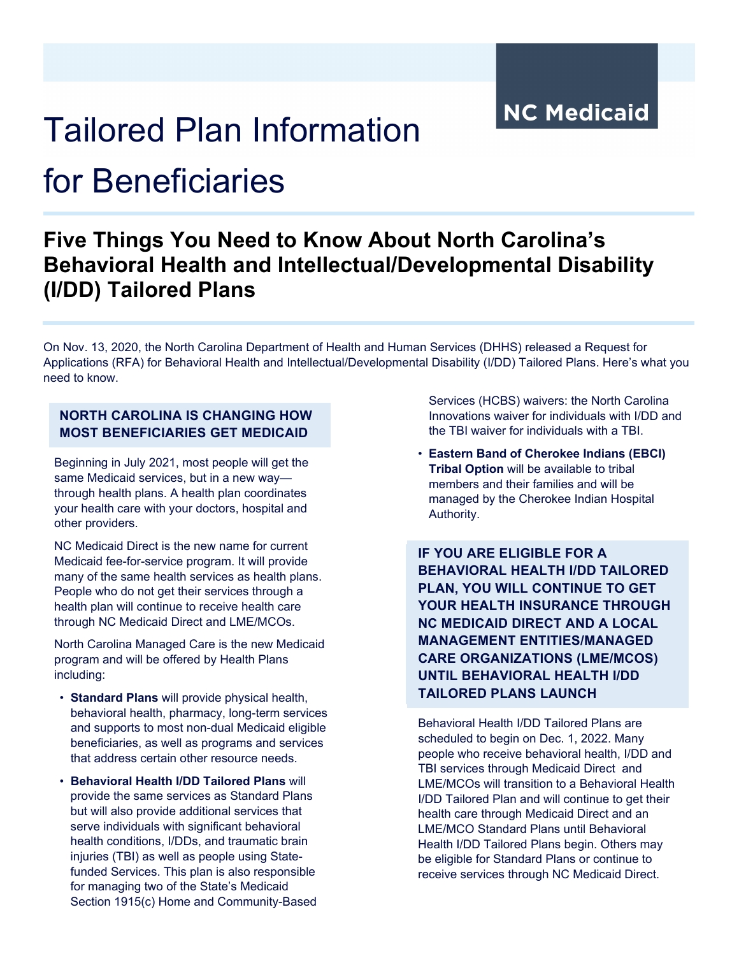**NC Medicaid** 

# Tailored Plan Information

## for Beneficiaries

### **Five Things You Need to Know About North Carolina's Behavioral Health and Intellectual/Developmental Disability (I/DD) Tailored Plans**

On Nov. 13, 2020, the North Carolina Department of Health and Human Services (DHHS) released a Request for Applications (RFA) for Behavioral Health and Intellectual/Developmental Disability (I/DD) Tailored Plans. Here's what you need to know.

#### **NORTH CAROLINA IS CHANGING HOW MOST BENEFICIARIES GET MEDICAID**

Beginning in July 2021, most people will get the same Medicaid services, but in a new way through health plans. A health plan coordinates your health care with your doctors, hospital and other providers.

NC Medicaid Direct is the new name for current Medicaid fee-for-service program. It will provide many of the same health services as health plans. People who do not get their services through a health plan will continue to receive health care through NC Medicaid Direct and LME/MCOs.

North Carolina Managed Care is the new Medicaid program and will be offered by Health Plans including:

- **Standard Plans** will provide physical health, behavioral health, pharmacy, long-term services and supports to most non-dual Medicaid eligible beneficiaries, as well as programs and services that address certain other resource needs.
- **Behavioral Health I/DD Tailored Plans** will provide the same services as Standard Plans but will also provide additional services that serve individuals with significant behavioral health conditions, I/DDs, and traumatic brain injuries (TBI) as well as people using Statefunded Services. This plan is also responsible for managing two of the State's Medicaid Section 1915(c) Home and Community-Based

Services (HCBS) waivers: the North Carolina Innovations waiver for individuals with I/DD and the TBI waiver for individuals with a TBI.

• **Eastern Band of Cherokee Indians (EBCI) Tribal Option** will be available to tribal members and their families and will be managed by the Cherokee Indian Hospital Authority.

**IF YOU ARE ELIGIBLE FOR A BEHAVIORAL HEALTH I/DD TAILORED PLAN, YOU WILL CONTINUE TO GET YOUR HEALTH INSURANCE THROUGH NC MEDICAID DIRECT AND A LOCAL MANAGEMENT ENTITIES/MANAGED CARE ORGANIZATIONS (LME/MCOS) UNTIL BEHAVIORAL HEALTH I/DD TAILORED PLANS LAUNCH**

Behavioral Health I/DD Tailored Plans are scheduled to begin on Dec. 1, 2022. Many people who receive behavioral health, I/DD and TBI services through Medicaid Direct and LME/MCOs will transition to a Behavioral Health I/DD Tailored Plan and will continue to get their health care through Medicaid Direct and an LME/MCO Standard Plans until Behavioral Health I/DD Tailored Plans begin. Others may be eligible for Standard Plans or continue to receive services through NC Medicaid Direct.